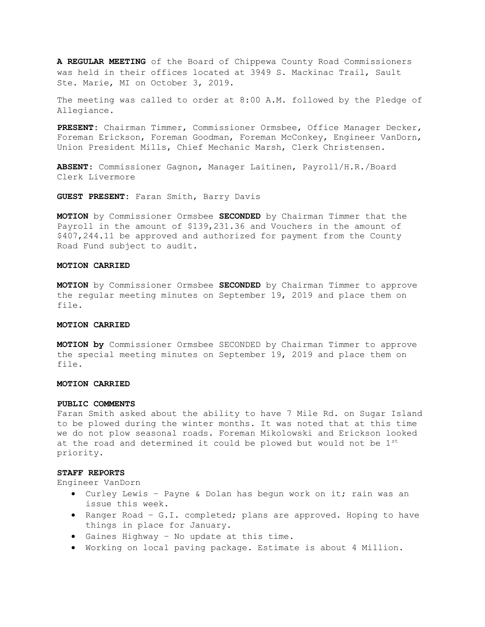A REGULAR MEETING of the Board of Chippewa County Road Commissioners was held in their offices located at 3949 S. Mackinac Trail, Sault Ste. Marie, MI on October 3, 2019.

The meeting was called to order at 8:00 A.M. followed by the Pledge of Allegiance.

PRESENT: Chairman Timmer, Commissioner Ormsbee, Office Manager Decker, Foreman Erickson, Foreman Goodman, Foreman McConkey, Engineer VanDorn, Union President Mills, Chief Mechanic Marsh, Clerk Christensen.

ABSENT: Commissioner Gagnon, Manager Laitinen, Payroll/H.R./Board Clerk Livermore

GUEST PRESENT: Faran Smith, Barry Davis

MOTION by Commissioner Ormsbee SECONDED by Chairman Timmer that the Payroll in the amount of \$139,231.36 and Vouchers in the amount of \$407,244.11 be approved and authorized for payment from the County Road Fund subject to audit.

# MOTION CARRIED

**MOTION** by Commissioner Ormsbee SECONDED by Chairman Timmer to approve the regular meeting minutes on September 19, 2019 and place them on file.

#### MOTION CARRIED

MOTION by Commissioner Ormsbee SECONDED by Chairman Timmer to approve the special meeting minutes on September 19, 2019 and place them on file.

# MOTION CARRIED

#### PUBLIC COMMENTS

Faran Smith asked about the ability to have 7 Mile Rd. on Sugar Island to be plowed during the winter months. It was noted that at this time we do not plow seasonal roads. Foreman Mikolowski and Erickson looked at the road and determined it could be plowed but would not be 1st priority.

#### STAFF REPORTS

Engineer VanDorn

- Curley Lewis Payne & Dolan has begun work on it; rain was an issue this week.
- Ranger Road G.I. completed; plans are approved. Hoping to have things in place for January.
- Gaines Highway No update at this time.
- Working on local paving package. Estimate is about 4 Million.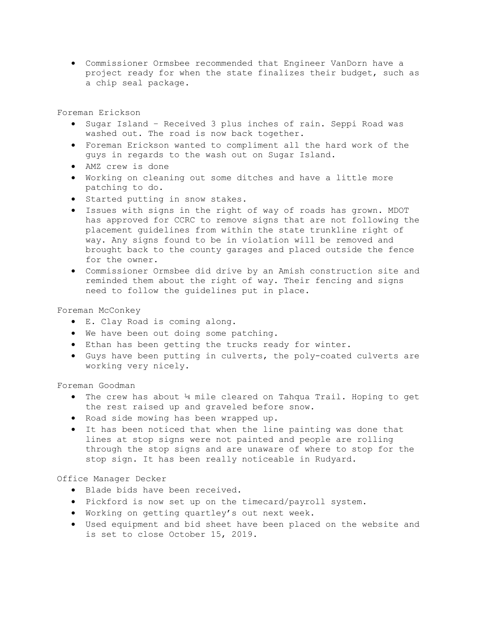Commissioner Ormsbee recommended that Engineer VanDorn have a project ready for when the state finalizes their budget, such as a chip seal package.

Foreman Erickson

- Sugar Island Received 3 plus inches of rain. Seppi Road was washed out. The road is now back together.
- Foreman Erickson wanted to compliment all the hard work of the guys in regards to the wash out on Sugar Island.
- AMZ crew is done
- Working on cleaning out some ditches and have a little more patching to do.
- **•** Started putting in snow stakes.
- Issues with signs in the right of way of roads has grown. MDOT has approved for CCRC to remove signs that are not following the placement guidelines from within the state trunkline right of way. Any signs found to be in violation will be removed and brought back to the county garages and placed outside the fence for the owner.
- Commissioner Ormsbee did drive by an Amish construction site and reminded them about the right of way. Their fencing and signs need to follow the guidelines put in place.

# Foreman McConkey

- E. Clay Road is coming along.
- We have been out doing some patching.
- Ethan has been getting the trucks ready for winter.
- Guys have been putting in culverts, the poly-coated culverts are working very nicely.

Foreman Goodman

- The crew has about 14 mile cleared on Tahqua Trail. Hoping to get the rest raised up and graveled before snow.
- Road side mowing has been wrapped up.
- It has been noticed that when the line painting was done that lines at stop signs were not painted and people are rolling through the stop signs and are unaware of where to stop for the stop sign. It has been really noticeable in Rudyard.

# Office Manager Decker

- Blade bids have been received.
- Pickford is now set up on the timecard/payroll system.
- Working on getting quartley's out next week.
- Used equipment and bid sheet have been placed on the website and is set to close October 15, 2019.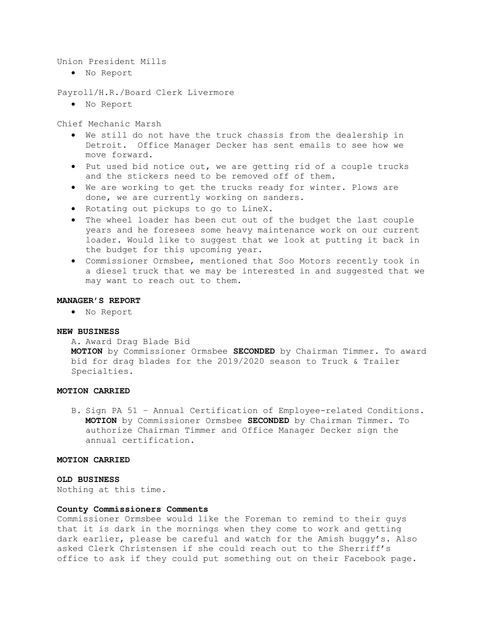Union President Mills

No Report

Payroll/H.R./Board Clerk Livermore

No Report

Chief Mechanic Marsh

- We still do not have the truck chassis from the dealership in Detroit. Office Manager Decker has sent emails to see how we move forward.
- Put used bid notice out, we are getting rid of a couple trucks and the stickers need to be removed off of them.
- We are working to get the trucks ready for winter. Plows are done, we are currently working on sanders.
- Rotating out pickups to go to LineX.
- The wheel loader has been cut out of the budget the last couple years and he foresees some heavy maintenance work on our current loader. Would like to suggest that we look at putting it back in the budget for this upcoming year.
- Commissioner Ormsbee, mentioned that Soo Motors recently took in a diesel truck that we may be interested in and suggested that we may want to reach out to them.

## MANAGER'S REPORT

No Report

# NEW BUSINESS

A. Award Drag Blade Bid

MOTION by Commissioner Ormsbee SECONDED by Chairman Timmer. To award bid for drag blades for the 2019/2020 season to Truck & Trailer Specialties.

# MOTION CARRIED

B. Sign PA 51 – Annual Certification of Employee-related Conditions. MOTION by Commissioner Ormsbee SECONDED by Chairman Timmer. To authorize Chairman Timmer and Office Manager Decker sign the annual certification.

#### MOTION CARRIED

## OLD BUSINESS

Nothing at this time.

#### County Commissioners Comments

Commissioner Ormsbee would like the Foreman to remind to their guys that it is dark in the mornings when they come to work and getting dark earlier, please be careful and watch for the Amish buggy's. Also asked Clerk Christensen if she could reach out to the Sherriff's office to ask if they could put something out on their Facebook page.